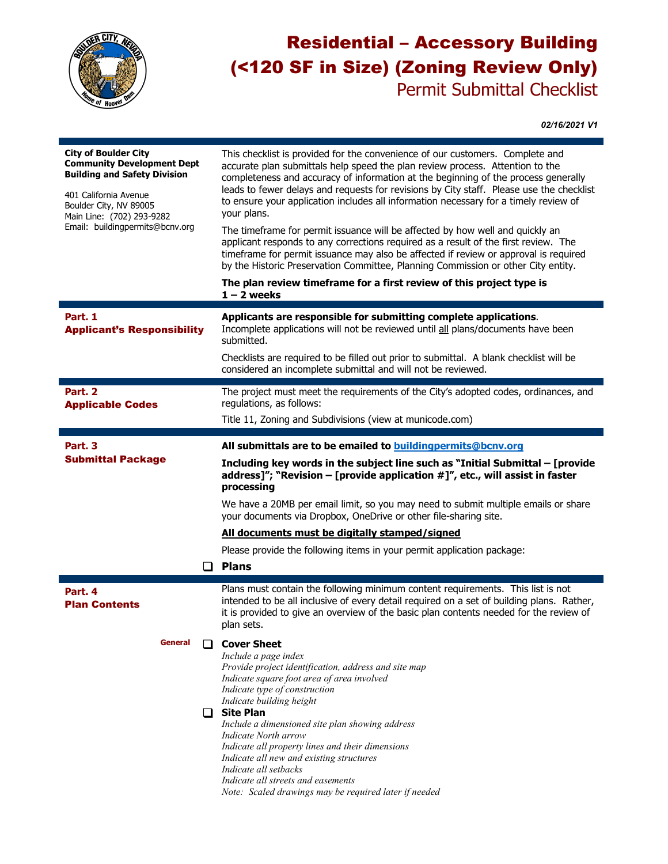

## Residential – Accessory Building (<120 SF in Size) (Zoning Review Only) Permit Submittal Checklist

*02/16/2021 V1*

| <b>City of Boulder City</b><br><b>Community Development Dept</b><br><b>Building and Safety Division</b><br>401 California Avenue<br>Boulder City, NV 89005<br>Main Line: (702) 293-9282<br>Email: buildingpermits@bcnv.org | This checklist is provided for the convenience of our customers. Complete and<br>accurate plan submittals help speed the plan review process. Attention to the<br>completeness and accuracy of information at the beginning of the process generally<br>leads to fewer delays and requests for revisions by City staff. Please use the checklist<br>to ensure your application includes all information necessary for a timely review of<br>your plans.<br>The timeframe for permit issuance will be affected by how well and quickly an |  |  |
|----------------------------------------------------------------------------------------------------------------------------------------------------------------------------------------------------------------------------|------------------------------------------------------------------------------------------------------------------------------------------------------------------------------------------------------------------------------------------------------------------------------------------------------------------------------------------------------------------------------------------------------------------------------------------------------------------------------------------------------------------------------------------|--|--|
|                                                                                                                                                                                                                            | applicant responds to any corrections required as a result of the first review. The<br>timeframe for permit issuance may also be affected if review or approval is required<br>by the Historic Preservation Committee, Planning Commission or other City entity.                                                                                                                                                                                                                                                                         |  |  |
|                                                                                                                                                                                                                            | The plan review timeframe for a first review of this project type is<br>$1 - 2$ weeks                                                                                                                                                                                                                                                                                                                                                                                                                                                    |  |  |
| Part. 1<br><b>Applicant's Responsibility</b>                                                                                                                                                                               | Applicants are responsible for submitting complete applications.<br>Incomplete applications will not be reviewed until all plans/documents have been<br>submitted.                                                                                                                                                                                                                                                                                                                                                                       |  |  |
|                                                                                                                                                                                                                            | Checklists are required to be filled out prior to submittal. A blank checklist will be<br>considered an incomplete submittal and will not be reviewed.                                                                                                                                                                                                                                                                                                                                                                                   |  |  |
| Part. 2<br><b>Applicable Codes</b>                                                                                                                                                                                         | The project must meet the requirements of the City's adopted codes, ordinances, and<br>regulations, as follows:                                                                                                                                                                                                                                                                                                                                                                                                                          |  |  |
|                                                                                                                                                                                                                            | Title 11, Zoning and Subdivisions (view at municode.com)                                                                                                                                                                                                                                                                                                                                                                                                                                                                                 |  |  |
| Part. 3                                                                                                                                                                                                                    | All submittals are to be emailed to <b>buildingpermits@bcnv.org</b>                                                                                                                                                                                                                                                                                                                                                                                                                                                                      |  |  |
| <b>Submittal Package</b>                                                                                                                                                                                                   | Including key words in the subject line such as "Initial Submittal - [provide<br>address]"; "Revision – [provide application $\#$ ]", etc., will assist in faster<br>processing                                                                                                                                                                                                                                                                                                                                                          |  |  |
|                                                                                                                                                                                                                            | We have a 20MB per email limit, so you may need to submit multiple emails or share<br>your documents via Dropbox, OneDrive or other file-sharing site.                                                                                                                                                                                                                                                                                                                                                                                   |  |  |
|                                                                                                                                                                                                                            | All documents must be digitally stamped/signed                                                                                                                                                                                                                                                                                                                                                                                                                                                                                           |  |  |
|                                                                                                                                                                                                                            | Please provide the following items in your permit application package:                                                                                                                                                                                                                                                                                                                                                                                                                                                                   |  |  |
| $\Box$                                                                                                                                                                                                                     | <b>Plans</b>                                                                                                                                                                                                                                                                                                                                                                                                                                                                                                                             |  |  |
| Part. 4<br><b>Plan Contents</b>                                                                                                                                                                                            | Plans must contain the following minimum content requirements. This list is not<br>intended to be all inclusive of every detail required on a set of building plans. Rather,<br>it is provided to give an overview of the basic plan contents needed for the review of<br>plan sets.                                                                                                                                                                                                                                                     |  |  |
| General                                                                                                                                                                                                                    | <b>Cover Sheet</b><br>Include a page index<br>Provide project identification, address and site map<br>Indicate square foot area of area involved<br>Indicate type of construction<br>Indicate building height<br>$\Box$ Site Plan<br>Include a dimensioned site plan showing address<br>Indicate North arrow<br>Indicate all property lines and their dimensions<br>Indicate all new and existing structures<br>Indicate all setbacks<br>Indicate all streets and easements<br>Note: Scaled drawings may be required later if needed     |  |  |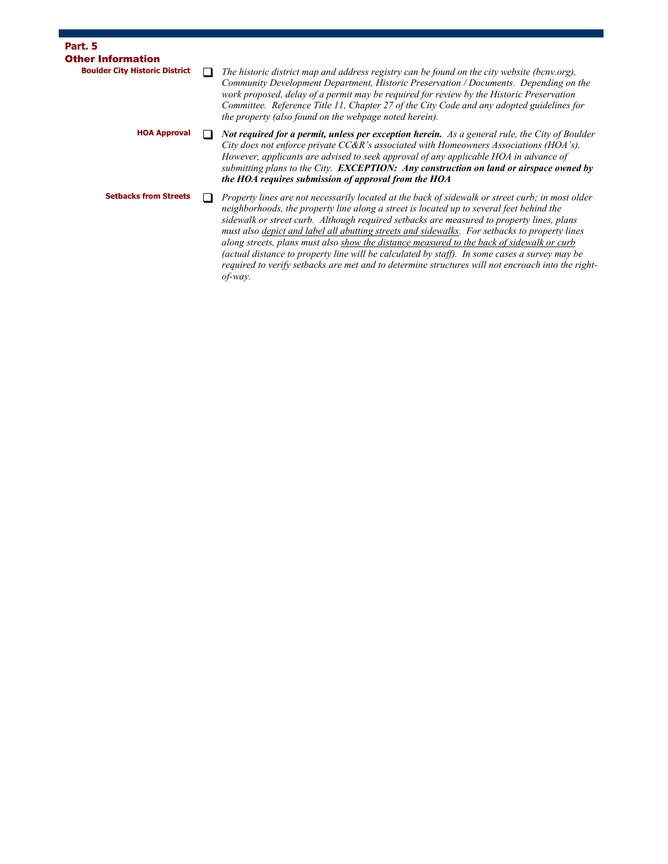| Part. 5                                                           |                                                                                                                                                                                                                                                                                                                                                                                                                                                                                                                                                                                                                                                                                                             |
|-------------------------------------------------------------------|-------------------------------------------------------------------------------------------------------------------------------------------------------------------------------------------------------------------------------------------------------------------------------------------------------------------------------------------------------------------------------------------------------------------------------------------------------------------------------------------------------------------------------------------------------------------------------------------------------------------------------------------------------------------------------------------------------------|
| <b>Other Information</b><br><b>Boulder City Historic District</b> | The historic district map and address registry can be found on the city website (bcnv.org),<br>Community Development Department, Historic Preservation / Documents. Depending on the<br>work proposed, delay of a permit may be required for review by the Historic Preservation                                                                                                                                                                                                                                                                                                                                                                                                                            |
|                                                                   | Committee. Reference Title 11, Chapter 27 of the City Code and any adopted guidelines for<br>the property (also found on the webpage noted herein).                                                                                                                                                                                                                                                                                                                                                                                                                                                                                                                                                         |
| <b>HOA Approval</b>                                               | <b>Not required for a permit, unless per exception herein.</b> As a general rule, the City of Boulder<br>City does not enforce private $CC\&R$ 's associated with Homeowners Associations (HOA's).<br>However, applicants are advised to seek approval of any applicable HOA in advance of<br>submitting plans to the City. <b>EXCEPTION:</b> Any construction on land or airspace owned by<br>the HOA requires submission of approval from the HOA                                                                                                                                                                                                                                                         |
| <b>Setbacks from Streets</b>                                      | Property lines are not necessarily located at the back of sidewalk or street curb; in most older<br>neighborhoods, the property line along a street is located up to several feet behind the<br>sidewalk or street curb. Although required setbacks are measured to property lines, plans<br>must also depict and label all abutting streets and sidewalks. For setbacks to property lines<br>along streets, plans must also show the distance measured to the back of sidewalk or curb<br>(actual distance to property line will be calculated by staff). In some cases a survey may be<br>required to verify setbacks are met and to determine structures will not encroach into the right-<br>$of$ -way. |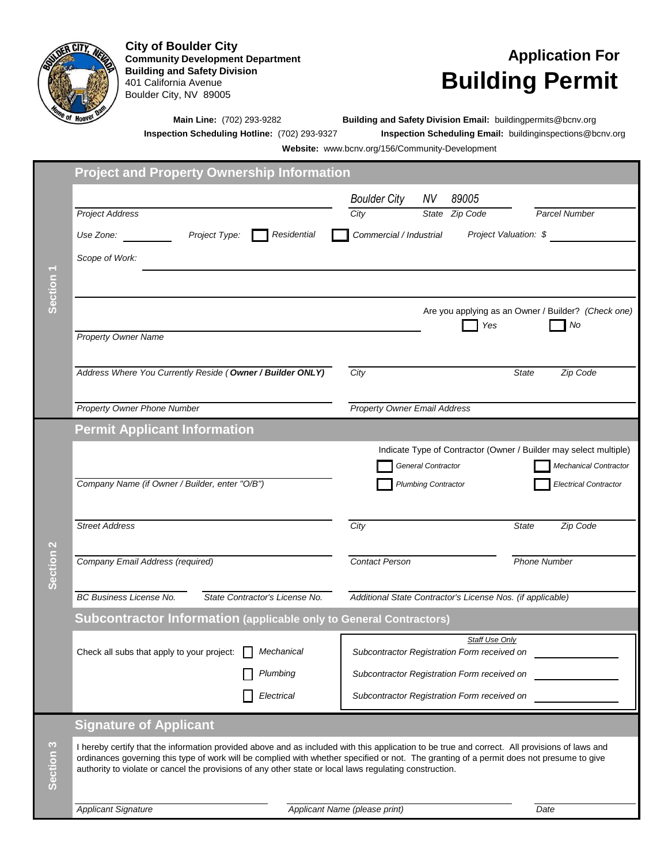

**Community Development Department Building and Safety Division** 401 California Avenue Boulder City, NV 89005 City of Boulder City<br>
Community Development Department<br> **Application For** 

## **Building Permit**

**Main Line:** (702) 293-9282 **Building and Safety Division Email:** buildingpermits@bcnv.org

**Inspection Scheduling Hotline:** (702) 293-9327 **Inspection Scheduling Email:** buildinginspections@bcnv.org

**Website:** www.bcnv.org/156/Community-Development

|                      | <b>Project and Property Ownership Information</b>                                                                                                                                                                                                   |                                        |                                                            |                                                                   |  |  |  |
|----------------------|-----------------------------------------------------------------------------------------------------------------------------------------------------------------------------------------------------------------------------------------------------|----------------------------------------|------------------------------------------------------------|-------------------------------------------------------------------|--|--|--|
|                      |                                                                                                                                                                                                                                                     | <b>Boulder City</b>                    | NV<br>89005                                                |                                                                   |  |  |  |
|                      | <b>Project Address</b>                                                                                                                                                                                                                              | City                                   | State Zip Code                                             | Parcel Number                                                     |  |  |  |
|                      | Project Type:                                                                                                                                                                                                                                       | Residential<br>Commercial / Industrial | Project Valuation: \$                                      |                                                                   |  |  |  |
|                      | Scope of Work:                                                                                                                                                                                                                                      |                                        |                                                            |                                                                   |  |  |  |
|                      |                                                                                                                                                                                                                                                     |                                        |                                                            |                                                                   |  |  |  |
| Section <sub>1</sub> |                                                                                                                                                                                                                                                     |                                        |                                                            |                                                                   |  |  |  |
|                      |                                                                                                                                                                                                                                                     |                                        |                                                            | Are you applying as an Owner / Builder? (Check one)               |  |  |  |
|                      | <b>Property Owner Name</b>                                                                                                                                                                                                                          |                                        | Yes                                                        | No                                                                |  |  |  |
|                      |                                                                                                                                                                                                                                                     |                                        |                                                            |                                                                   |  |  |  |
|                      | Address Where You Currently Reside (Owner / Builder ONLY)                                                                                                                                                                                           | City                                   |                                                            | <b>State</b><br>Zip Code                                          |  |  |  |
|                      |                                                                                                                                                                                                                                                     |                                        |                                                            |                                                                   |  |  |  |
|                      | Property Owner Phone Number                                                                                                                                                                                                                         |                                        | <b>Property Owner Email Address</b>                        |                                                                   |  |  |  |
|                      | <b>Permit Applicant Information</b>                                                                                                                                                                                                                 |                                        |                                                            |                                                                   |  |  |  |
|                      |                                                                                                                                                                                                                                                     |                                        |                                                            | Indicate Type of Contractor (Owner / Builder may select multiple) |  |  |  |
|                      | Company Name (if Owner / Builder, enter "O/B")                                                                                                                                                                                                      |                                        | General Contractor<br><b>Plumbing Contractor</b>           | Mechanical Contractor<br><b>Electrical Contractor</b>             |  |  |  |
|                      |                                                                                                                                                                                                                                                     |                                        |                                                            |                                                                   |  |  |  |
|                      | <b>Street Address</b>                                                                                                                                                                                                                               | City                                   |                                                            | Zip Code<br><b>State</b>                                          |  |  |  |
|                      |                                                                                                                                                                                                                                                     |                                        |                                                            |                                                                   |  |  |  |
| Section <sub>2</sub> | Company Email Address (required)                                                                                                                                                                                                                    | <b>Contact Person</b>                  |                                                            | <b>Phone Number</b>                                               |  |  |  |
|                      |                                                                                                                                                                                                                                                     |                                        |                                                            |                                                                   |  |  |  |
|                      | <b>BC Business License No.</b><br>State Contractor's License No.                                                                                                                                                                                    |                                        | Additional State Contractor's License Nos. (if applicable) |                                                                   |  |  |  |
|                      | Subcontractor Information (applicable only to General Contractors)                                                                                                                                                                                  |                                        |                                                            |                                                                   |  |  |  |
|                      |                                                                                                                                                                                                                                                     |                                        | <b>Staff Use Only</b>                                      |                                                                   |  |  |  |
|                      | Check all subs that apply to your project:<br>Mechanical                                                                                                                                                                                            |                                        | Subcontractor Registration Form received on                |                                                                   |  |  |  |
|                      | Plumbing                                                                                                                                                                                                                                            |                                        | Subcontractor Registration Form received on                |                                                                   |  |  |  |
|                      | Electrical                                                                                                                                                                                                                                          |                                        | Subcontractor Registration Form received on                |                                                                   |  |  |  |
|                      | <b>Signature of Applicant</b>                                                                                                                                                                                                                       |                                        |                                                            |                                                                   |  |  |  |
|                      | I hereby certify that the information provided above and as included with this application to be true and correct. All provisions of laws and                                                                                                       |                                        |                                                            |                                                                   |  |  |  |
| Section 3            | ordinances governing this type of work will be complied with whether specified or not. The granting of a permit does not presume to give<br>authority to violate or cancel the provisions of any other state or local laws regulating construction. |                                        |                                                            |                                                                   |  |  |  |
|                      |                                                                                                                                                                                                                                                     |                                        |                                                            |                                                                   |  |  |  |
|                      | <b>Applicant Signature</b>                                                                                                                                                                                                                          | Applicant Name (please print)          |                                                            | Date                                                              |  |  |  |
|                      |                                                                                                                                                                                                                                                     |                                        |                                                            |                                                                   |  |  |  |